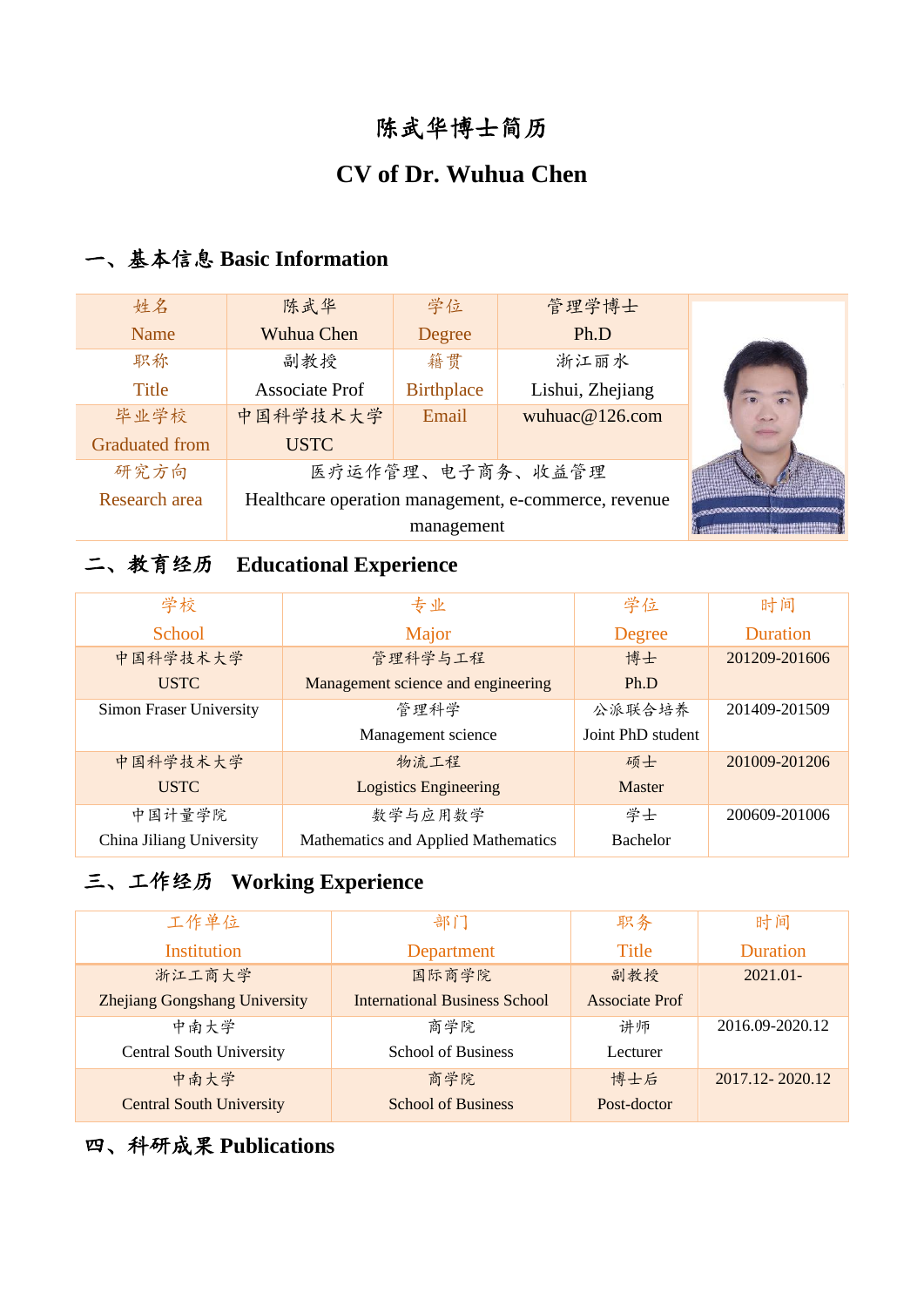# 陈武华博士简历

# **CV of Dr. Wuhua Chen**

### 一、基本信息 **Basic Information**

| 姓名                    | 陈武华                                                  | 学位                | 管理学博士            |  |
|-----------------------|------------------------------------------------------|-------------------|------------------|--|
| Name                  | Wuhua Chen                                           | Degree            | Ph.D             |  |
| 职称                    | 副教授                                                  | 籍贯                | 浙江丽水             |  |
| Title                 | <b>Associate Prof</b>                                | <b>Birthplace</b> | Lishui, Zhejiang |  |
| 毕业学校                  | 中国科学技术大学                                             | Email             | wuhuac@126.com   |  |
| <b>Graduated from</b> | <b>USTC</b>                                          |                   |                  |  |
| 研究方向                  | 医疗运作管理、电子商务、收益管理                                     |                   |                  |  |
| Research area         | Healthcare operation management, e-commerce, revenue |                   |                  |  |
|                       | management                                           |                   |                  |  |

## 二、教育经历 **Educational Experience**

| 学校                       | 专业                                  | 学位                | 时间              |
|--------------------------|-------------------------------------|-------------------|-----------------|
| <b>School</b>            | Major                               | Degree            | <b>Duration</b> |
| 中国科学技术大学                 | 管理科学与工程                             | 博士                | 201209-201606   |
| <b>USTC</b>              | Management science and engineering  | Ph.D              |                 |
| Simon Fraser University  | 管理科学                                | 公派联合培养            | 201409-201509   |
|                          | Management science                  | Joint PhD student |                 |
| 中国科学技术大学                 | 物流工程                                | 硕士                | 201009-201206   |
| <b>USTC</b>              | <b>Logistics Engineering</b>        | <b>Master</b>     |                 |
| 中国计量学院                   | 数学与应用数学                             | 学士                | 200609-201006   |
| China Jiliang University | Mathematics and Applied Mathematics | <b>Bachelor</b>   |                 |

# 三、工作经历 **Working Experience**

| 工作单位                                 | 部门                                   | 职务                    | 时间              |
|--------------------------------------|--------------------------------------|-----------------------|-----------------|
| Institution                          | Department                           | <b>Title</b>          | <b>Duration</b> |
| 浙江工商大学                               | 国际商学院                                | 副教授                   | $2021.01 -$     |
| <b>Zhejiang Gongshang University</b> | <b>International Business School</b> | <b>Associate Prof</b> |                 |
| 中南大学                                 | 商学院                                  | 讲师                    | 2016.09-2020.12 |
| <b>Central South University</b>      | <b>School of Business</b>            | Lecturer              |                 |
| 中南大学                                 | 商学院                                  | 博士后                   | 2017.12-2020.12 |
| <b>Central South University</b>      | <b>School of Business</b>            | Post-doctor           |                 |

## 四、科研成果 **Publications**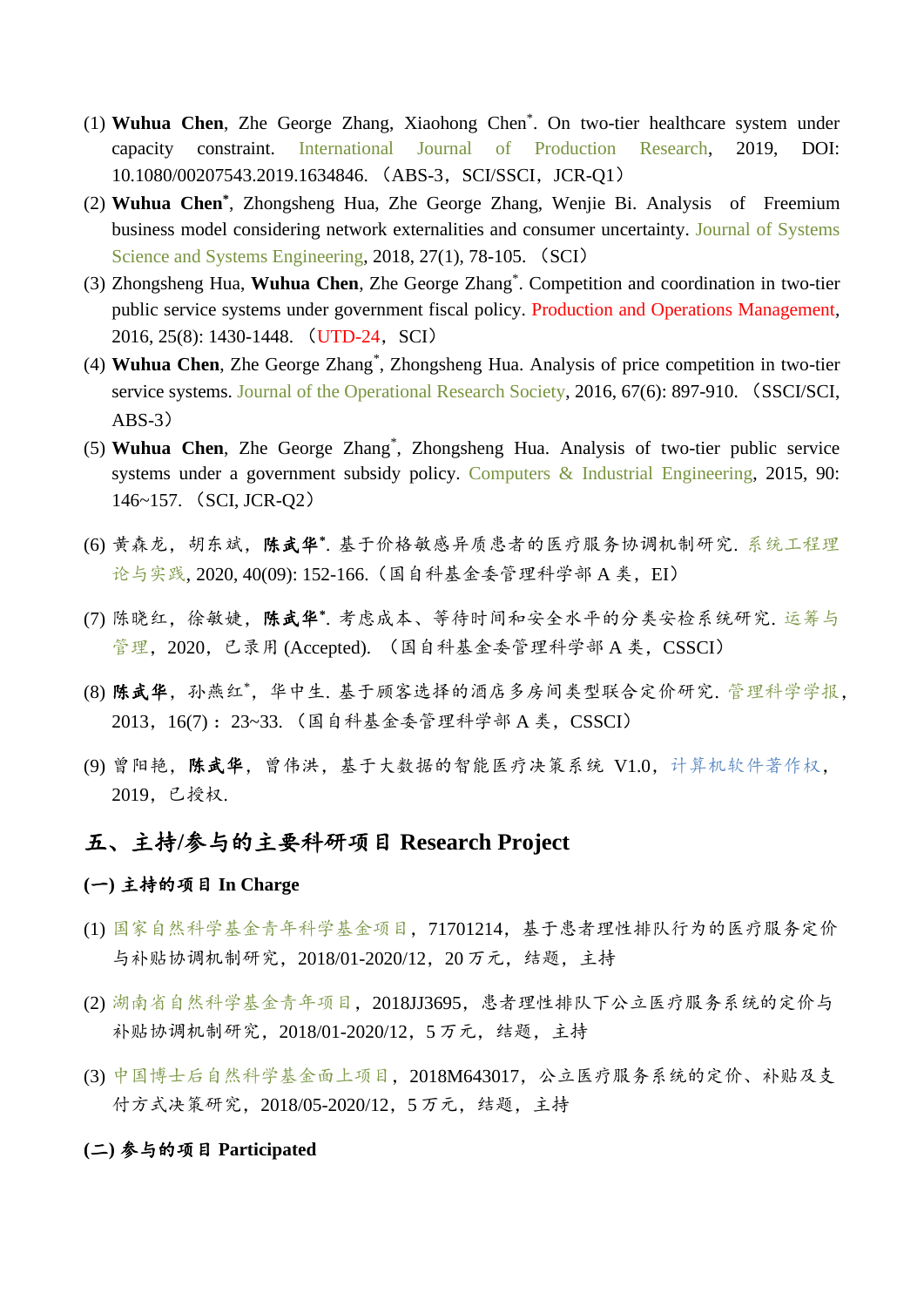- (1) **Wuhua Chen**, Zhe George Zhang, Xiaohong Chen\* . On two-tier healthcare system under capacity constraint. International Journal of Production Research, 2019, DOI: 10.1080/00207543.2019.1634846. (ABS-3, SCI/SSCI, JCR-Q1)
- (2) **Wuhua Chen\*** , Zhongsheng Hua, Zhe George Zhang, Wenjie Bi. Analysis of Freemium business model considering network externalities and consumer uncertainty. Journal of Systems Science and Systems Engineering, 2018, 27(1), 78-105. (SCI)
- (3) Zhongsheng Hua, **Wuhua Chen**, Zhe George Zhang\* . Competition and coordination in two-tier public service systems under government fiscal policy. Production and Operations Management, 2016, 25(8): 1430-1448. (UTD-24, SCI)
- (4) **Wuhua Chen**, Zhe George Zhang\* , Zhongsheng Hua. Analysis of price competition in two-tier service systems. Journal of the Operational Research Society, 2016, 67(6): 897-910. (SSCI/SCI,  $ABS-3)$
- (5) **Wuhua Chen**, Zhe George Zhang\* , Zhongsheng Hua. Analysis of two-tier public service systems under a government subsidy policy. Computers & Industrial Engineering, 2015, 90: 146~157. (SCI, JCR-Q2)
- (6) 黄森龙,胡东斌,陈武华\*. 基于价格敏感异质患者的医疗服务协调机制研究. 系统工程理 论与实践, 2020, 40(09): 152-166. (国自科基金委管理科学部 A 类, EI)
- (7) 陈晓红,徐敏婕,陈武华\*.考虑成本、等待时间和安全水平的分类安检系统研究. 运筹与 管理,2020,已录用 (Accepted). (国自科基金委管理科学部 A 类,CSSCI)
- (8) 陈武华,孙燕红\*,华中生. 基于顾客选择的酒店多房间类型联合定价研究. 管理科学学报, 2013, 16(7): 23~33. (国自科基金委管理科学部 A 类, CSSCI)
- (9) 曾阳艳,陈武华,曾伟洪,基于大数据的智能医疗决策系统 V1.0,计算机软件著作权, 2019,已授权.

### 五、主持**/**参与的主要科研项目 **Research Project**

### **(**一**)** 主持的项目 **In Charge**

- (1) 国家自然科学基金青年科学基金项目,71701214,基于患者理性排队行为的医疗服务定价 与补贴协调机制研究,2018/01-2020/12,20 万元,结题,主持
- (2) 湖南省自然科学基金青年项目,2018JJ3695,患者理性排队下公立医疗服务系统的定价与 补贴协调机制研究,2018/01-2020/12,5 万元,结题,主持
- (3) 中国博士后自然科学基金面上项目,2018M643017,公立医疗服务系统的定价、补贴及支 付方式决策研究,2018/05-2020/12,5 万元,结题,主持

#### **(**二**)** 参与的项目 **Participated**